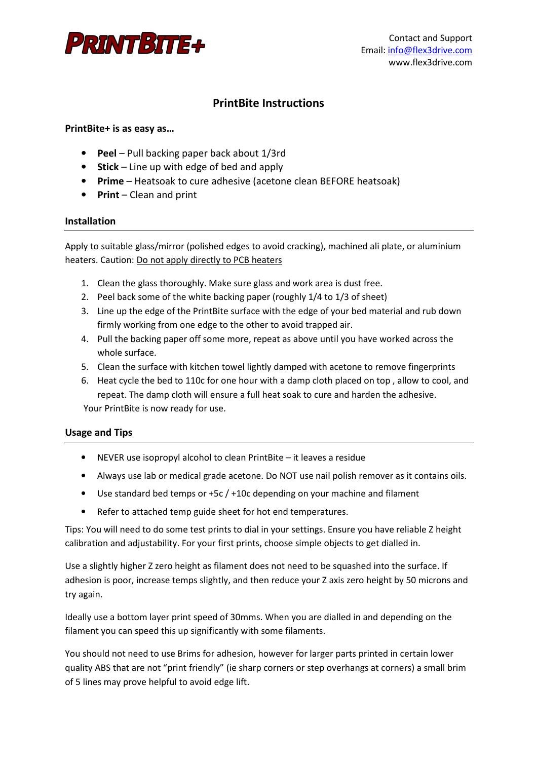

# **PrintBite Instructions**

# **PrintBite+ is as easy as…**

- **Peel**  Pull backing paper back about 1/3rd
- **Stick**  Line up with edge of bed and apply
- **Prime** Heatsoak to cure adhesive (acetone clean BEFORE heatsoak)
- **Print**  Clean and print

#### **Installation**

Apply to suitable glass/mirror (polished edges to avoid cracking), machined ali plate, or aluminium heaters. Caution: Do not apply directly to PCB heaters

- 1. Clean the glass thoroughly. Make sure glass and work area is dust free.
- 2. Peel back some of the white backing paper (roughly 1/4 to 1/3 of sheet)
- 3. Line up the edge of the PrintBite surface with the edge of your bed material and rub down firmly working from one edge to the other to avoid trapped air.
- 4. Pull the backing paper off some more, repeat as above until you have worked across the whole surface.
- 5. Clean the surface with kitchen towel lightly damped with acetone to remove fingerprints
- 6. Heat cycle the bed to 110c for one hour with a damp cloth placed on top , allow to cool, and repeat. The damp cloth will ensure a full heat soak to cure and harden the adhesive.

Your PrintBite is now ready for use.

# **Usage and Tips**

- NEVER use isopropyl alcohol to clean PrintBite it leaves a residue
- Always use lab or medical grade acetone. Do NOT use nail polish remover as it contains oils.
- Use standard bed temps or +5c / +10c depending on your machine and filament
- Refer to attached temp guide sheet for hot end temperatures.

Tips: You will need to do some test prints to dial in your settings. Ensure you have reliable Z height calibration and adjustability. For your first prints, choose simple objects to get dialled in.

Use a slightly higher Z zero height as filament does not need to be squashed into the surface. If adhesion is poor, increase temps slightly, and then reduce your Z axis zero height by 50 microns and try again.

Ideally use a bottom layer print speed of 30mms. When you are dialled in and depending on the filament you can speed this up significantly with some filaments.

You should not need to use Brims for adhesion, however for larger parts printed in certain lower quality ABS that are not "print friendly" (ie sharp corners or step overhangs at corners) a small brim of 5 lines may prove helpful to avoid edge lift.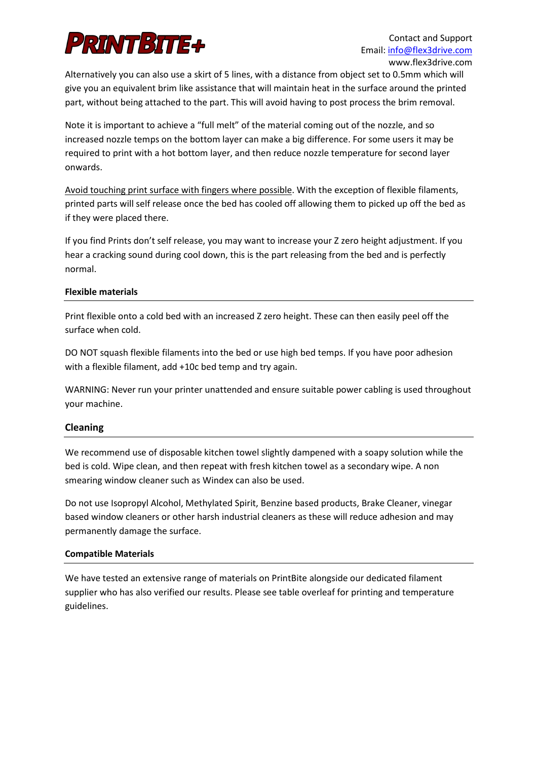

Alternatively you can also use a skirt of 5 lines, with a distance from object set to 0.5mm which will give you an equivalent brim like assistance that will maintain heat in the surface around the printed part, without being attached to the part. This will avoid having to post process the brim removal.

Note it is important to achieve a "full melt" of the material coming out of the nozzle, and so increased nozzle temps on the bottom layer can make a big difference. For some users it may be required to print with a hot bottom layer, and then reduce nozzle temperature for second layer onwards.

Avoid touching print surface with fingers where possible. With the exception of flexible filaments, printed parts will self release once the bed has cooled off allowing them to picked up off the bed as if they were placed there.

If you find Prints don't self release, you may want to increase your Z zero height adjustment. If you hear a cracking sound during cool down, this is the part releasing from the bed and is perfectly normal.

#### **Flexible materials**

Print flexible onto a cold bed with an increased Z zero height. These can then easily peel off the surface when cold.

DO NOT squash flexible filaments into the bed or use high bed temps. If you have poor adhesion with a flexible filament, add +10c bed temp and try again.

WARNING: Never run your printer unattended and ensure suitable power cabling is used throughout your machine.

# **Cleaning**

We recommend use of disposable kitchen towel slightly dampened with a soapy solution while the bed is cold. Wipe clean, and then repeat with fresh kitchen towel as a secondary wipe. A non smearing window cleaner such as Windex can also be used.

Do not use Isopropyl Alcohol, Methylated Spirit, Benzine based products, Brake Cleaner, vinegar based window cleaners or other harsh industrial cleaners as these will reduce adhesion and may permanently damage the surface.

#### **Compatible Materials**

We have tested an extensive range of materials on PrintBite alongside our dedicated filament supplier who has also verified our results. Please see table overleaf for printing and temperature guidelines.